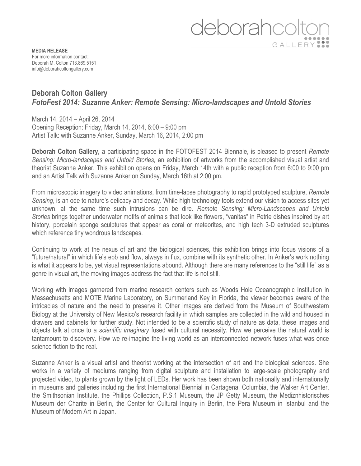

**MEDIA RELEASE** For more information contact: Deborah M. Colton 713.869.5151 info@deborahcoltongallery.com

# **Deborah Colton Gallery**  *FotoFest 2014: Suzanne Anker: Remote Sensing: Micro-landscapes and Untold Stories*

March 14, 2014 – April 26, 2014 Opening Reception: Friday, March 14, 2014, 6:00 – 9:00 pm Artist Talk: with Suzanne Anker, Sunday, March 16, 2014, 2:00 pm

**Deborah Colton Gallery,** a participating space in the FOTOFEST 2014 Biennale, is pleased to present *Remote Sensing: Micro-landscapes and Untold Stories,* an exhibition of artworks from the accomplished visual artist and theorist Suzanne Anker. This exhibition opens on Friday, March 14th with a public reception from 6:00 to 9:00 pm and an Artist Talk with Suzanne Anker on Sunday, March 16th at 2:00 pm.

From microscopic imagery to video animations, from time-lapse photography to rapid prototyped sculpture, *Remote Sensing*, is an ode to nature's delicacy and decay. While high technology tools extend our vision to access sites yet unknown, at the same time such intrusions can be dire. *Remote Sensing: Micro-Landscapes and Untold Stories* brings together underwater motifs of animals that look like flowers, "vanitas" in Petrie dishes inspired by art history, porcelain sponge sculptures that appear as coral or meteorites, and high tech 3-D extruded sculptures which reference tiny wondrous landscapes.

Continuing to work at the nexus of art and the biological sciences, this exhibition brings into focus visions of a "future/natural" in which life's ebb and flow, always in flux, combine with its synthetic other. In Anker's work nothing is what it appears to be, yet visual representations abound. Although there are many references to the "still life" as a genre in visual art, the moving images address the fact that life is not still.

Working with images garnered from marine research centers such as Woods Hole Oceanographic Institution in Massachusetts and MOTE Marine Laboratory, on Summerland Key in Florida, the viewer becomes aware of the intricacies of nature and the need to preserve it. Other images are derived from the Museum of Southwestern Biology at the University of New Mexico's research facility in which samples are collected in the wild and housed in drawers and cabinets for further study. Not intended to be a scientific study of nature as data, these images and objects talk at once to a *scientific imaginary* fused with cultural necessity. How we perceive the natural world is tantamount to discovery. How we re-imagine the living world as an interconnected network fuses what was once science fiction to the real.

Suzanne Anker is a visual artist and theorist working at the intersection of art and the biological sciences. She works in a variety of mediums ranging from digital sculpture and installation to large-scale photography and projected video, to plants grown by the light of LEDs. Her work has been shown both nationally and internationally in museums and galleries including the first International Biennial in Cartagena, Columbia, the Walker Art Center, the Smithsonian Institute, the Phillips Collection, P.S.1 Museum, the JP Getty Museum, the Mediznhistorisches Museum der Charite in Berlin, the Center for Cultural Inquiry in Berlin, the Pera Museum in Istanbul and the Museum of Modern Art in Japan.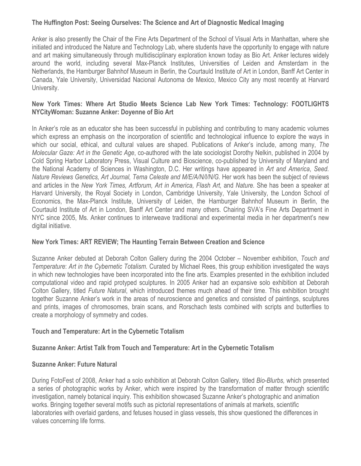## **The Huffington Post: Seeing Ourselves: The Science and Art of Diagnostic Medical Imaging**

Anker is also presently the Chair of the Fine Arts Department of the School of Visual Arts in Manhattan, where she initiated and introduced the Nature and Technology Lab, where students have the opportunity to engage with nature and art making simultaneously through multidisciplinary exploration known today as Bio Art. Anker lectures widely around the world, including several Max-Planck Institutes, Universities of Leiden and Amsterdam in the Netherlands, the Hamburger Bahnhof Museum in Berlin, the Courtauld Institute of Art in London, Banff Art Center in Canada, Yale University, Universidad Nacional Autonoma de Mexico, Mexico City any most recently at Harvard University.

## **New York Times: Where Art Studio Meets Science Lab New York Times: Technology: FOOTLIGHTS NYCityWoman: Suzanne Anker: Doyenne of Bio Art**

In Anker's role as an educator she has been successful in publishing and contributing to many academic volumes which express an emphasis on the incorporation of scientific and technological influence to explore the ways in which our social, ethical, and cultural values are shaped. Publications of Anker's include, among many, *The Molecular Gaze: Art in the Genetic Age*, co-authored with the late sociologist Dorothy Nelkin, published in 2004 by Cold Spring Harbor Laboratory Press, Visual Culture and Bioscience, co-published by University of Maryland and the National Academy of Sciences in Washington, D.C. Her writings have appeared in *Art and America*, *Seed. Nature Reviews Genetics, Art Journal, Tema Celeste and M/E/A/N/I/N/G.* Her work has been the subject of reviews and articles in the *New York Times, Artforum, Art in America, Flash Art,* and *Nature.* She has been a speaker at Harvard University, the Royal Society in London, Cambridge University, Yale University, the London School of Economics, the Max-Planck Institute, University of Leiden, the Hamburger Bahnhof Museum in Berlin, the Courtauld Institute of Art in London, Banff Art Center and many others. Chairing SVA's Fine Arts Department in NYC since 2005, Ms. Anker continues to interweave traditional and experimental media in her department's new digital initiative.

### **New York Times: ART REVIEW; The Haunting Terrain Between Creation and Science**

Suzanne Anker debuted at Deborah Colton Gallery during the 2004 October – November exhibition, *Touch and Temperature*: *Art in the Cybernetic Totalism.* Curated by Michael Rees, this group exhibition investigated the ways in which new technologies have been incorporated into the fine arts. Examples presented in the exhibition included computational video and rapid protyped sculptures. In 2005 Anker had an expansive solo exhibition at Deborah Colton Gallery, titled *Future Natural*, which introduced themes much ahead of their time. This exhibition brought together Suzanne Anker's work in the areas of neuroscience and genetics and consisted of paintings, sculptures and prints, images of chromosomes, brain scans, and Rorschach tests combined with scripts and butterflies to create a morphology of symmetry and codes.

### **Touch and Temperature: Art in the Cybernetic Totalism**

### **Suzanne Anker: Artist Talk from Touch and Temperature: Art in the Cybernetic Totalism**

### **Suzanne Anker: Future Natural**

During FotoFest of 2008, Anker had a solo exhibition at Deborah Colton Gallery, titled *Bio-Blurbs,* which presented a series of photographic works by Anker, which were inspired by the transformation of matter through scientific investigation, namely botanical inquiry. This exhibition showcased Suzanne Anker's photographic and animation works. Bringing together several motifs such as pictorial representations of animals at markets, scientific laboratories with overlaid gardens, and fetuses housed in glass vessels, this show questioned the differences in values concerning life forms.